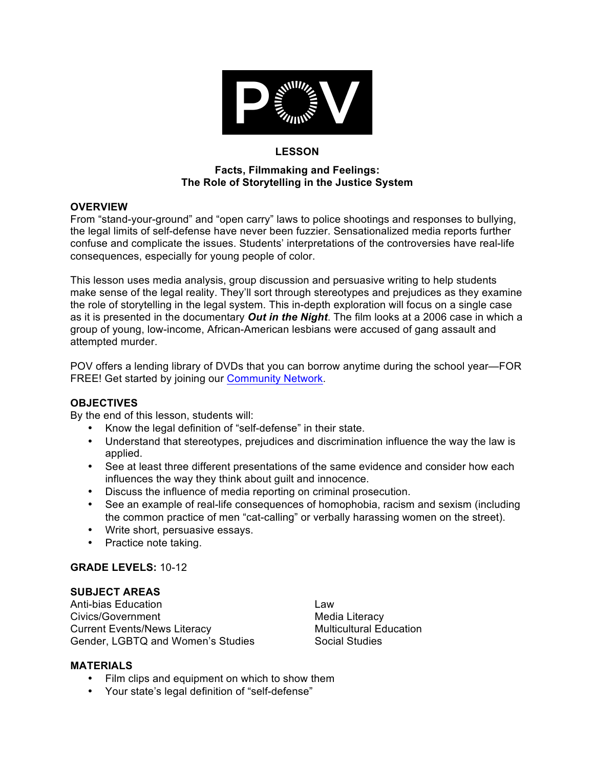

## **LESSON**

#### **Facts, Filmmaking and Feelings: The Role of Storytelling in the Justice System**

### **OVERVIEW**

From "stand-your-ground" and "open carry" laws to police shootings and responses to bullying, the legal limits of self-defense have never been fuzzier. Sensationalized media reports further confuse and complicate the issues. Students' interpretations of the controversies have real-life consequences, especially for young people of color.

This lesson uses media analysis, group discussion and persuasive writing to help students make sense of the legal reality. They'll sort through stereotypes and prejudices as they examine the role of storytelling in the legal system. This in-depth exploration will focus on a single case as it is presented in the documentary *Out in the Night*. The film looks at a 2006 case in which a group of young, low-income, African-American lesbians were accused of gang assault and attempted murder.

POV offers a lending library of DVDs that you can borrow anytime during the school year—FOR FREE! Get started by joining our **Community Network**.

# **OBJECTIVES**

By the end of this lesson, students will:

- Know the legal definition of "self-defense" in their state.
- Understand that stereotypes, prejudices and discrimination influence the way the law is applied.
- See at least three different presentations of the same evidence and consider how each influences the way they think about guilt and innocence.
- Discuss the influence of media reporting on criminal prosecution.
- See an example of real-life consequences of homophobia, racism and sexism (including the common practice of men "cat-calling" or verbally harassing women on the street).
- Write short, persuasive essays.
- Practice note taking.

# **GRADE LEVELS:** 10-12

# **SUBJECT AREAS**

Anti-bias Education Civics/Government Current Events/News Literacy Gender, LGBTQ and Women's Studies

Law Media Literacy Multicultural Education Social Studies

#### **MATERIALS**

- Film clips and equipment on which to show them
- Your state's legal definition of "self-defense"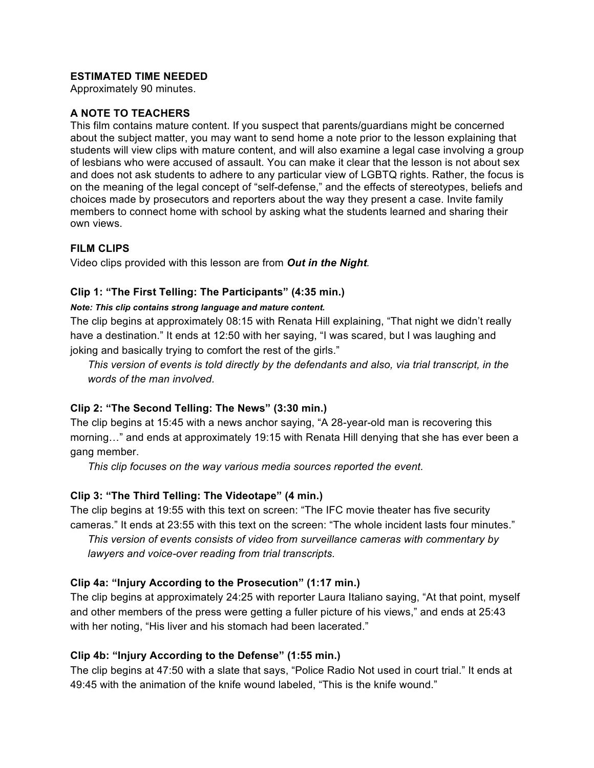# **ESTIMATED TIME NEEDED**

Approximately 90 minutes.

### **A NOTE TO TEACHERS**

This film contains mature content. If you suspect that parents/guardians might be concerned about the subject matter, you may want to send home a note prior to the lesson explaining that students will view clips with mature content, and will also examine a legal case involving a group of lesbians who were accused of assault. You can make it clear that the lesson is not about sex and does not ask students to adhere to any particular view of LGBTQ rights. Rather, the focus is on the meaning of the legal concept of "self-defense," and the effects of stereotypes, beliefs and choices made by prosecutors and reporters about the way they present a case. Invite family members to connect home with school by asking what the students learned and sharing their own views.

# **FILM CLIPS**

Video clips provided with this lesson are from *Out in the Night.*

# **Clip 1: "The First Telling: The Participants" (4:35 min.)**

### *Note: This clip contains strong language and mature content.*

The clip begins at approximately 08:15 with Renata Hill explaining, "That night we didn't really have a destination." It ends at 12:50 with her saying, "I was scared, but I was laughing and joking and basically trying to comfort the rest of the girls."

*This version of events is told directly by the defendants and also, via trial transcript, in the words of the man involved.*

# **Clip 2: "The Second Telling: The News" (3:30 min.)**

The clip begins at 15:45 with a news anchor saying, "A 28-year-old man is recovering this morning…" and ends at approximately 19:15 with Renata Hill denying that she has ever been a gang member.

*This clip focuses on the way various media sources reported the event.*

# **Clip 3: "The Third Telling: The Videotape" (4 min.)**

The clip begins at 19:55 with this text on screen: "The IFC movie theater has five security cameras." It ends at 23:55 with this text on the screen: "The whole incident lasts four minutes."

*This version of events consists of video from surveillance cameras with commentary by lawyers and voice-over reading from trial transcripts.*

# **Clip 4a: "Injury According to the Prosecution" (1:17 min.)**

The clip begins at approximately 24:25 with reporter Laura Italiano saying, "At that point, myself and other members of the press were getting a fuller picture of his views," and ends at 25:43 with her noting, "His liver and his stomach had been lacerated."

# **Clip 4b: "Injury According to the Defense" (1:55 min.)**

The clip begins at 47:50 with a slate that says, "Police Radio Not used in court trial." It ends at 49:45 with the animation of the knife wound labeled, "This is the knife wound."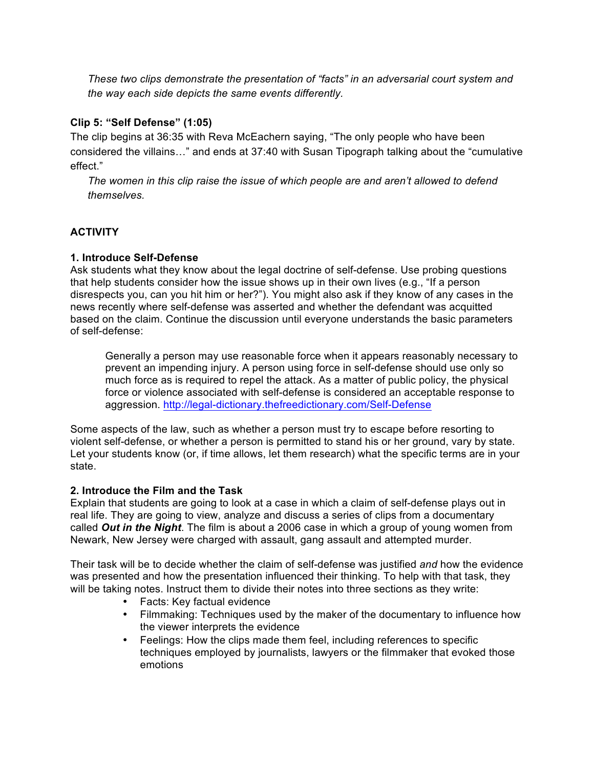*These two clips demonstrate the presentation of "facts" in an adversarial court system and the way each side depicts the same events differently.*

# **Clip 5: "Self Defense" (1:05)**

The clip begins at 36:35 with Reva McEachern saying, "The only people who have been considered the villains…" and ends at 37:40 with Susan Tipograph talking about the "cumulative effect."

*The women in this clip raise the issue of which people are and aren't allowed to defend themselves.*

# **ACTIVITY**

### **1. Introduce Self-Defense**

Ask students what they know about the legal doctrine of self-defense. Use probing questions that help students consider how the issue shows up in their own lives (e.g., "If a person disrespects you, can you hit him or her?"). You might also ask if they know of any cases in the news recently where self-defense was asserted and whether the defendant was acquitted based on the claim. Continue the discussion until everyone understands the basic parameters of self-defense:

Generally a person may use reasonable force when it appears reasonably necessary to prevent an impending injury. A person using force in self-defense should use only so much force as is required to repel the attack. As a matter of public policy, the physical force or violence associated with self-defense is considered an acceptable response to aggression. http://legal-dictionary.thefreedictionary.com/Self-Defense

Some aspects of the law, such as whether a person must try to escape before resorting to violent self-defense, or whether a person is permitted to stand his or her ground, vary by state. Let your students know (or, if time allows, let them research) what the specific terms are in your state.

#### **2. Introduce the Film and the Task**

Explain that students are going to look at a case in which a claim of self-defense plays out in real life. They are going to view, analyze and discuss a series of clips from a documentary called *Out in the Night*. The film is about a 2006 case in which a group of young women from Newark, New Jersey were charged with assault, gang assault and attempted murder.

Their task will be to decide whether the claim of self-defense was justified *and* how the evidence was presented and how the presentation influenced their thinking. To help with that task, they will be taking notes. Instruct them to divide their notes into three sections as they write:

- Facts: Key factual evidence
- Filmmaking: Techniques used by the maker of the documentary to influence how the viewer interprets the evidence
- Feelings: How the clips made them feel, including references to specific techniques employed by journalists, lawyers or the filmmaker that evoked those emotions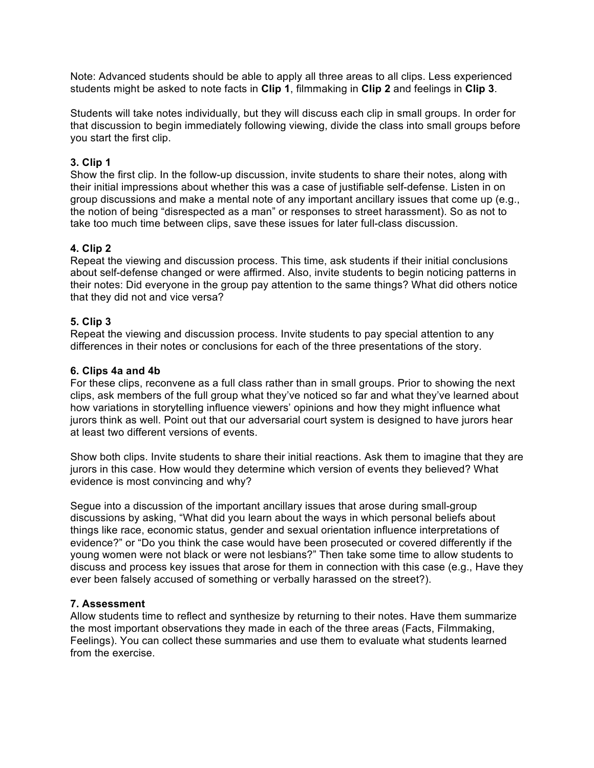Note: Advanced students should be able to apply all three areas to all clips. Less experienced students might be asked to note facts in **Clip 1**, filmmaking in **Clip 2** and feelings in **Clip 3**.

Students will take notes individually, but they will discuss each clip in small groups. In order for that discussion to begin immediately following viewing, divide the class into small groups before you start the first clip.

# **3. Clip 1**

Show the first clip. In the follow-up discussion, invite students to share their notes, along with their initial impressions about whether this was a case of justifiable self-defense. Listen in on group discussions and make a mental note of any important ancillary issues that come up (e.g., the notion of being "disrespected as a man" or responses to street harassment). So as not to take too much time between clips, save these issues for later full-class discussion.

### **4. Clip 2**

Repeat the viewing and discussion process. This time, ask students if their initial conclusions about self-defense changed or were affirmed. Also, invite students to begin noticing patterns in their notes: Did everyone in the group pay attention to the same things? What did others notice that they did not and vice versa?

### **5. Clip 3**

Repeat the viewing and discussion process. Invite students to pay special attention to any differences in their notes or conclusions for each of the three presentations of the story.

### **6. Clips 4a and 4b**

For these clips, reconvene as a full class rather than in small groups. Prior to showing the next clips, ask members of the full group what they've noticed so far and what they've learned about how variations in storytelling influence viewers' opinions and how they might influence what jurors think as well. Point out that our adversarial court system is designed to have jurors hear at least two different versions of events.

Show both clips. Invite students to share their initial reactions. Ask them to imagine that they are jurors in this case. How would they determine which version of events they believed? What evidence is most convincing and why?

Segue into a discussion of the important ancillary issues that arose during small-group discussions by asking, "What did you learn about the ways in which personal beliefs about things like race, economic status, gender and sexual orientation influence interpretations of evidence?" or "Do you think the case would have been prosecuted or covered differently if the young women were not black or were not lesbians?" Then take some time to allow students to discuss and process key issues that arose for them in connection with this case (e.g., Have they ever been falsely accused of something or verbally harassed on the street?).

#### **7. Assessment**

Allow students time to reflect and synthesize by returning to their notes. Have them summarize the most important observations they made in each of the three areas (Facts, Filmmaking, Feelings). You can collect these summaries and use them to evaluate what students learned from the exercise.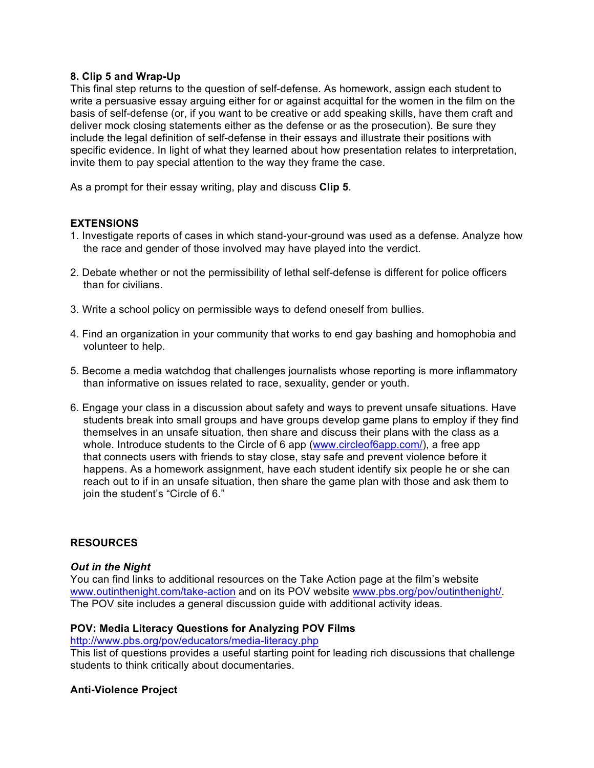### **8. Clip 5 and Wrap-Up**

This final step returns to the question of self-defense. As homework, assign each student to write a persuasive essay arguing either for or against acquittal for the women in the film on the basis of self-defense (or, if you want to be creative or add speaking skills, have them craft and deliver mock closing statements either as the defense or as the prosecution). Be sure they include the legal definition of self-defense in their essays and illustrate their positions with specific evidence. In light of what they learned about how presentation relates to interpretation, invite them to pay special attention to the way they frame the case.

As a prompt for their essay writing, play and discuss **Clip 5**.

### **EXTENSIONS**

- 1. Investigate reports of cases in which stand-your-ground was used as a defense. Analyze how the race and gender of those involved may have played into the verdict.
- 2. Debate whether or not the permissibility of lethal self-defense is different for police officers than for civilians.
- 3. Write a school policy on permissible ways to defend oneself from bullies.
- 4. Find an organization in your community that works to end gay bashing and homophobia and volunteer to help.
- 5. Become a media watchdog that challenges journalists whose reporting is more inflammatory than informative on issues related to race, sexuality, gender or youth.
- 6. Engage your class in a discussion about safety and ways to prevent unsafe situations. Have students break into small groups and have groups develop game plans to employ if they find themselves in an unsafe situation, then share and discuss their plans with the class as a whole. Introduce students to the Circle of 6 app (www.circleof6app.com/), a free app that connects users with friends to stay close, stay safe and prevent violence before it happens. As a homework assignment, have each student identify six people he or she can reach out to if in an unsafe situation, then share the game plan with those and ask them to join the student's "Circle of 6."

#### **RESOURCES**

#### *Out in the Night*

You can find links to additional resources on the Take Action page at the film's website www.outinthenight.com/take-action and on its POV website www.pbs.org/pov/outinthenight/. The POV site includes a general discussion guide with additional activity ideas.

#### **POV: Media Literacy Questions for Analyzing POV Films**

http://www.pbs.org/pov/educators/media-literacy.php

This list of questions provides a useful starting point for leading rich discussions that challenge students to think critically about documentaries.

# **Anti-Violence Project**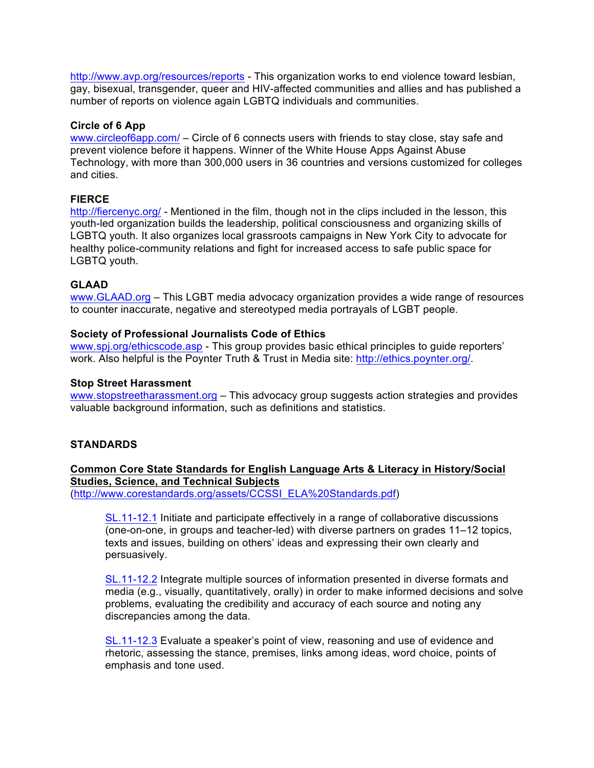http://www.avp.org/resources/reports - This organization works to end violence toward lesbian, gay, bisexual, transgender, queer and HIV-affected communities and allies and has published a number of reports on violence again LGBTQ individuals and communities.

#### **Circle of 6 App**

www.circleof6app.com/ – Circle of 6 connects users with friends to stay close, stay safe and prevent violence before it happens. Winner of the White House Apps Against Abuse Technology, with more than 300,000 users in 36 countries and versions customized for colleges and cities.

# **FIERCE**

http://fiercenyc.org/ - Mentioned in the film, though not in the clips included in the lesson, this youth-led organization builds the leadership, political consciousness and organizing skills of LGBTQ youth. It also organizes local grassroots campaigns in New York City to advocate for healthy police-community relations and fight for increased access to safe public space for LGBTQ youth.

# **GLAAD**

www.GLAAD.org – This LGBT media advocacy organization provides a wide range of resources to counter inaccurate, negative and stereotyped media portrayals of LGBT people.

### **Society of Professional Journalists Code of Ethics**

www.spj.org/ethicscode.asp - This group provides basic ethical principles to guide reporters' work. Also helpful is the Poynter Truth & Trust in Media site: http://ethics.poynter.org/.

#### **Stop Street Harassment**

www.stopstreetharassment.org – This advocacy group suggests action strategies and provides valuable background information, such as definitions and statistics.

# **STANDARDS**

**Common Core State Standards for English Language Arts & Literacy in History/Social Studies, Science, and Technical Subjects** (http://www.corestandards.org/assets/CCSSI\_ELA%20Standards.pdf)

SL.11-12.1 Initiate and participate effectively in a range of collaborative discussions (one-on-one, in groups and teacher-led) with diverse partners on grades 11–12 topics, texts and issues, building on others' ideas and expressing their own clearly and persuasively.

SL.11-12.2 Integrate multiple sources of information presented in diverse formats and media (e.g., visually, quantitatively, orally) in order to make informed decisions and solve problems, evaluating the credibility and accuracy of each source and noting any discrepancies among the data.

SL.11-12.3 Evaluate a speaker's point of view, reasoning and use of evidence and rhetoric, assessing the stance, premises, links among ideas, word choice, points of emphasis and tone used.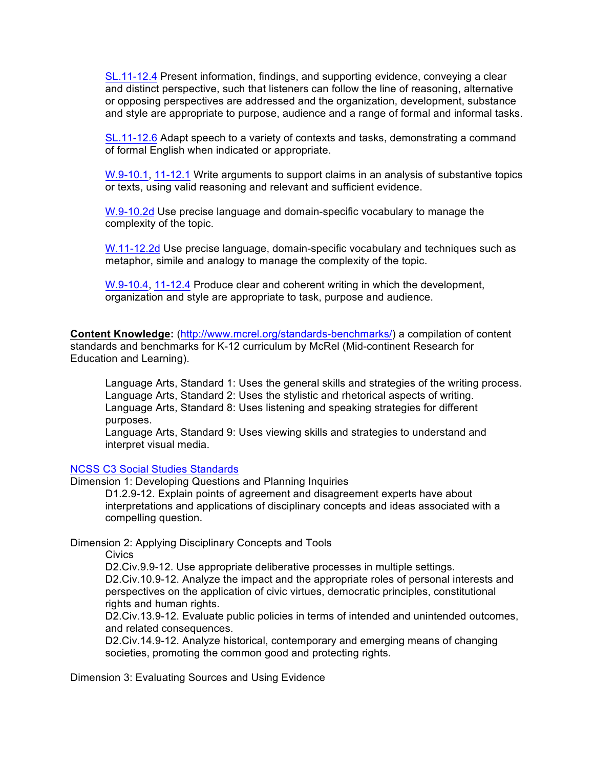SL.11-12.4 Present information, findings, and supporting evidence, conveying a clear and distinct perspective, such that listeners can follow the line of reasoning, alternative or opposing perspectives are addressed and the organization, development, substance and style are appropriate to purpose, audience and a range of formal and informal tasks.

SL.11-12.6 Adapt speech to a variety of contexts and tasks, demonstrating a command of formal English when indicated or appropriate.

W.9-10.1, 11-12.1 Write arguments to support claims in an analysis of substantive topics or texts, using valid reasoning and relevant and sufficient evidence.

W.9-10.2d Use precise language and domain-specific vocabulary to manage the complexity of the topic.

W.11-12.2d Use precise language, domain-specific vocabulary and techniques such as metaphor, simile and analogy to manage the complexity of the topic.

W.9-10.4, 11-12.4 Produce clear and coherent writing in which the development, organization and style are appropriate to task, purpose and audience.

**Content Knowledge:** (http://www.mcrel.org/standards-benchmarks/) a compilation of content standards and benchmarks for K-12 curriculum by McRel (Mid-continent Research for Education and Learning).

Language Arts, Standard 1: Uses the general skills and strategies of the writing process. Language Arts, Standard 2: Uses the stylistic and rhetorical aspects of writing. Language Arts, Standard 8: Uses listening and speaking strategies for different purposes.

Language Arts, Standard 9: Uses viewing skills and strategies to understand and interpret visual media.

#### NCSS C3 Social Studies Standards

Dimension 1: Developing Questions and Planning Inquiries

D1.2.9-12. Explain points of agreement and disagreement experts have about interpretations and applications of disciplinary concepts and ideas associated with a compelling question.

Dimension 2: Applying Disciplinary Concepts and Tools

**Civics** 

D2.Civ.9.9-12. Use appropriate deliberative processes in multiple settings. D2.Civ.10.9-12. Analyze the impact and the appropriate roles of personal interests and perspectives on the application of civic virtues, democratic principles, constitutional rights and human rights.

D2.Civ.13.9-12. Evaluate public policies in terms of intended and unintended outcomes, and related consequences.

D2.Civ.14.9-12. Analyze historical, contemporary and emerging means of changing societies, promoting the common good and protecting rights.

Dimension 3: Evaluating Sources and Using Evidence